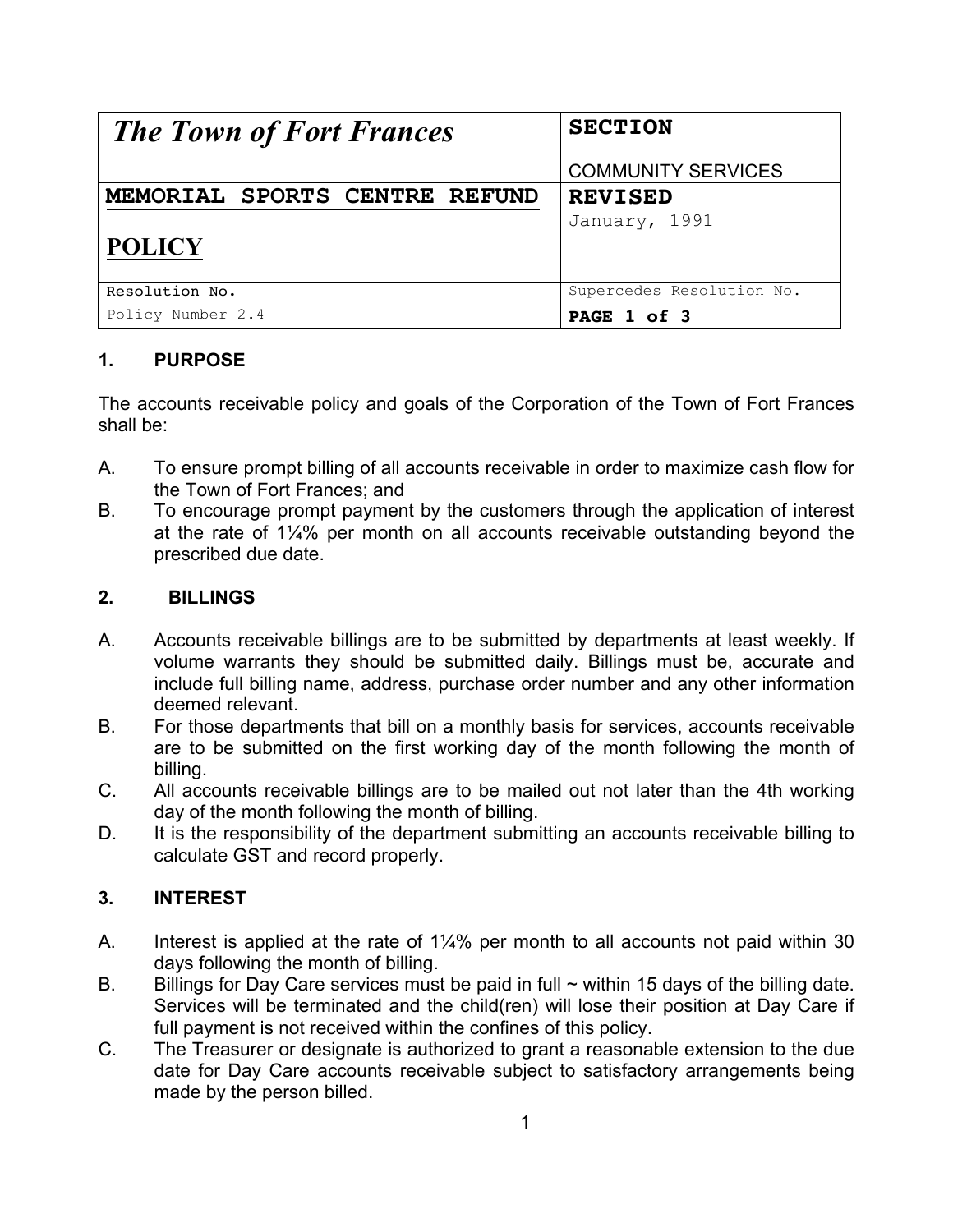| <b>The Town of Fort Frances</b> | <b>SECTION</b>            |
|---------------------------------|---------------------------|
|                                 | <b>COMMUNITY SERVICES</b> |
| MEMORIAL SPORTS CENTRE REFUND   | <b>REVISED</b>            |
|                                 | January, 1991             |
| <b>POLICY</b>                   |                           |
|                                 |                           |
| Resolution No.                  | Supercedes Resolution No. |
| Policy Number 2.4               | PAGE 1 of 3               |

## **1. PURPOSE**

The accounts receivable policy and goals of the Corporation of the Town of Fort Frances shall be:

- A. To ensure prompt billing of all accounts receivable in order to maximize cash flow for the Town of Fort Frances; and
- B. To encourage prompt payment by the customers through the application of interest at the rate of 1¼% per month on all accounts receivable outstanding beyond the prescribed due date.

#### **2. BILLINGS**

- A. Accounts receivable billings are to be submitted by departments at least weekly. If volume warrants they should be submitted daily. Billings must be, accurate and include full billing name, address, purchase order number and any other information deemed relevant.
- B. For those departments that bill on a monthly basis for services, accounts receivable are to be submitted on the first working day of the month following the month of billing.
- C. All accounts receivable billings are to be mailed out not later than the 4th working day of the month following the month of billing.
- D. It is the responsibility of the department submitting an accounts receivable billing to calculate GST and record properly.

## **3. INTEREST**

- A. Interest is applied at the rate of 1¼% per month to all accounts not paid within 30 days following the month of billing.
- B. Billings for Day Care services must be paid in full  $\sim$  within 15 days of the billing date. Services will be terminated and the child(ren) will lose their position at Day Care if full payment is not received within the confines of this policy.
- C. The Treasurer or designate is authorized to grant a reasonable extension to the due date for Day Care accounts receivable subject to satisfactory arrangements being made by the person billed.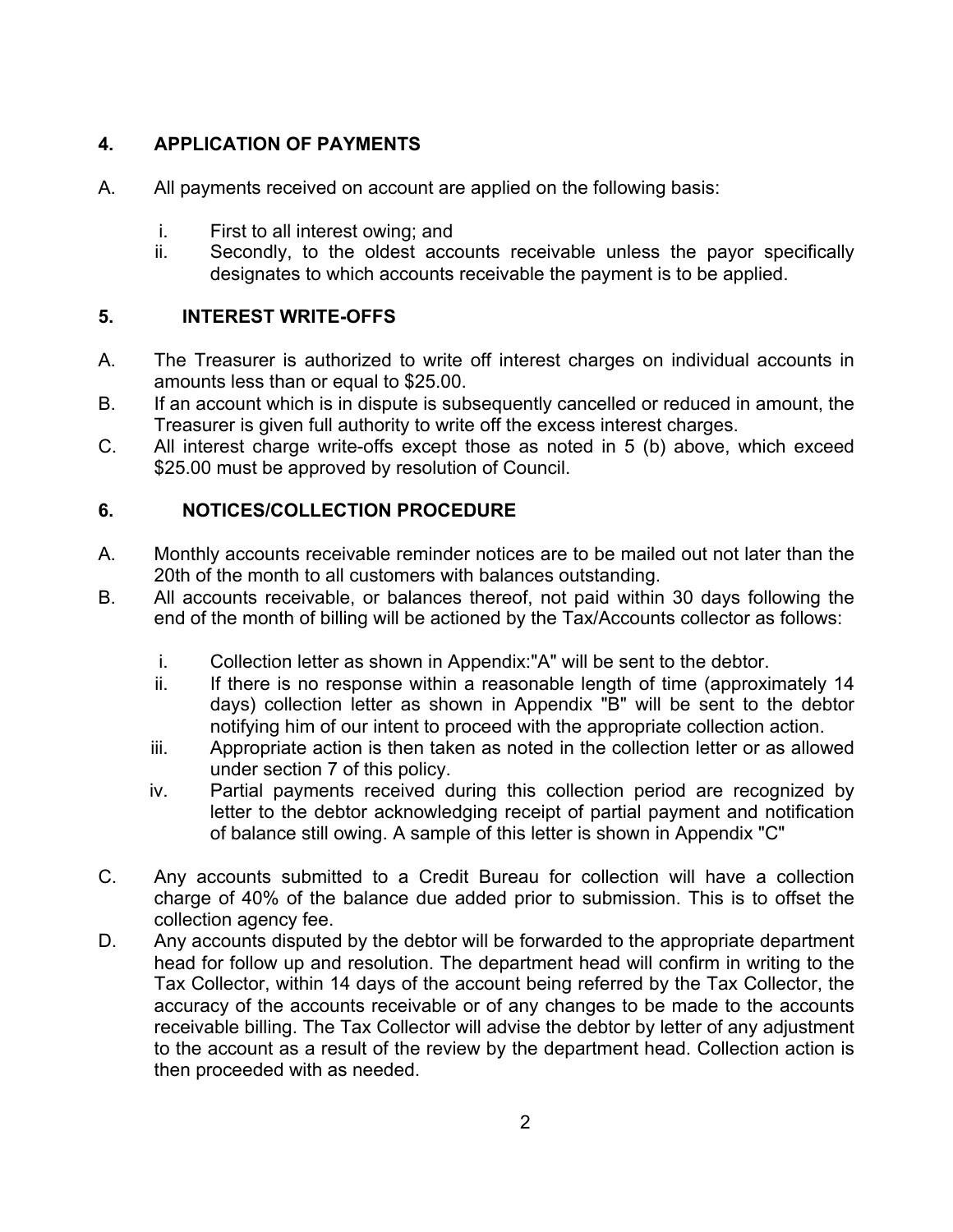## **4. APPLICATION OF PAYMENTS**

- A. All payments received on account are applied on the following basis:
	- i. First to all interest owing; and
	- ii. Secondly, to the oldest accounts receivable unless the payor specifically designates to which accounts receivable the payment is to be applied.

## **5. INTEREST WRITE-OFFS**

- A. The Treasurer is authorized to write off interest charges on individual accounts in amounts less than or equal to \$25.00.
- B. If an account which is in dispute is subsequently cancelled or reduced in amount, the Treasurer is given full authority to write off the excess interest charges.
- C. All interest charge write-offs except those as noted in 5 (b) above, which exceed \$25.00 must be approved by resolution of Council.

# **6. NOTICES/COLLECTION PROCEDURE**

- A. Monthly accounts receivable reminder notices are to be mailed out not later than the 20th of the month to all customers with balances outstanding.
- B. All accounts receivable, or balances thereof, not paid within 30 days following the end of the month of billing will be actioned by the Tax/Accounts collector as follows:
	- i. Collection letter as shown in Appendix:"A" will be sent to the debtor.
	- ii. If there is no response within a reasonable length of time (approximately 14 days) collection letter as shown in Appendix "B" will be sent to the debtor notifying him of our intent to proceed with the appropriate collection action.
	- iii. Appropriate action is then taken as noted in the collection letter or as allowed under section 7 of this policy.
	- iv. Partial payments received during this collection period are recognized by letter to the debtor acknowledging receipt of partial payment and notification of balance still owing. A sample of this letter is shown in Appendix "C"
- C. Any accounts submitted to a Credit Bureau for collection will have a collection charge of 40% of the balance due added prior to submission. This is to offset the collection agency fee.
- D. Any accounts disputed by the debtor will be forwarded to the appropriate department head for follow up and resolution. The department head will confirm in writing to the Tax Collector, within 14 days of the account being referred by the Tax Collector, the accuracy of the accounts receivable or of any changes to be made to the accounts receivable billing. The Tax Collector will advise the debtor by letter of any adjustment to the account as a result of the review by the department head. Collection action is then proceeded with as needed.